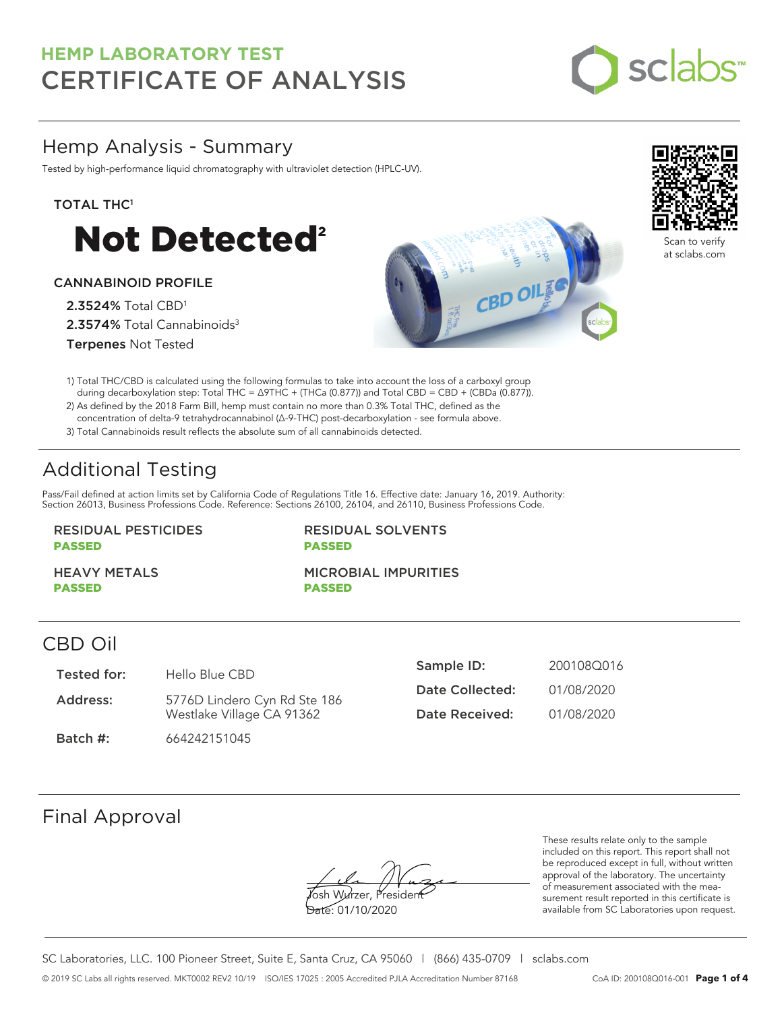

# Hemp Analysis - Summary

Tested by high-performance liquid chromatography with ultraviolet detection (HPLC-UV).

### TOTAL THC<sup>1</sup>



### CANNABINOID PROFILE

2.3524% Total CBD<sup>1</sup> 2.3574% Total Cannabinoids<sup>3</sup> Terpenes Not Tested





Scan to verify at sclabs.com

1) Total THC/CBD is calculated using the following formulas to take into account the loss of a carboxyl group during decarboxylation step: Total THC = ∆9THC + (THCa (0.877)) and Total CBD = CBD + (CBDa (0.877)).

2) As defined by the 2018 Farm Bill, hemp must contain no more than 0.3% Total THC, defined as the concentration of delta-9 tetrahydrocannabinol (Δ-9-THC) post-decarboxylation - see formula above.

3) Total Cannabinoids result reflects the absolute sum of all cannabinoids detected.

# Additional Testing

Pass/Fail defined at action limits set by California Code of Regulations Title 16. Effective date: January 16, 2019. Authority: Section 26013, Business Professions Code. Reference: Sections 26100, 26104, and 26110, Business Professions Code.

### RESIDUAL PESTICIDES PASSED

RESIDUAL SOLVENTS PASSED

HEAVY METALS PASSED

MICROBIAL IMPURITIES PASSED

### CBD Oil

| Tested for: | Hello Blue CBD               | Sample ID:      | 200108Q016 |
|-------------|------------------------------|-----------------|------------|
| Address:    | 5776D Lindero Cyn Rd Ste 186 | Date Collected: | 01/08/2020 |
|             | Westlake Village CA 91362    | Date Received:  | 01/08/2020 |
| Batch #:    | 664242151045                 |                 |            |

## Final Approval

Yosh Wurzer, Presiden

Date: 01/10/2020

These results relate only to the sample included on this report. This report shall not be reproduced except in full, without written approval of the laboratory. The uncertainty of measurement associated with the measurement result reported in this certificate is available from SC Laboratories upon request.

SC Laboratories, LLC. 100 Pioneer Street, Suite E, Santa Cruz, CA 95060 | (866) 435-0709 | sclabs.com © 2019 SC Labs all rights reserved. MKT0002 REV2 10/19 ISO/IES 17025 : 2005 Accredited PJLA Accreditation Number 87168 CoA ID: 200108Q016-001 **Page 1 of 4**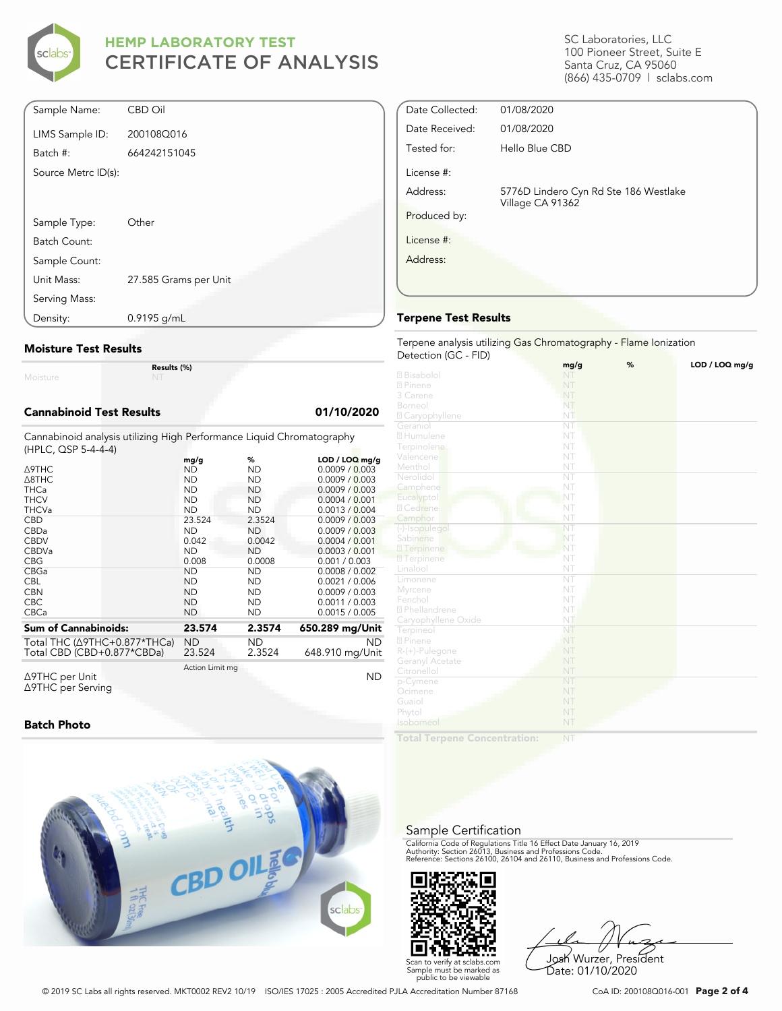

| Sample Name:        | <b>CBD Oil</b>        |
|---------------------|-----------------------|
| LIMS Sample ID:     | 200108Q016            |
| Batch #:            | 664242151045          |
| Source Metrc ID(s): |                       |
|                     |                       |
|                     |                       |
| Sample Type:        | Other                 |
| Batch Count:        |                       |
| Sample Count:       |                       |
| Unit Mass:          | 27.585 Grams per Unit |
| Serving Mass:       |                       |
| Density:            | $0.9195$ g/mL         |

#### **Moisture Test Results**

Moisture

**Results (%)**

#### **Cannabinoid Test Results 01/10/2020**

Cannabinoid analysis utilizing High Performance Liquid Chromatography (HPLC, QSP 5-4-4-4)

|                                          | mg/g            | %         | $LOD / LOQ$ mg/g |
|------------------------------------------|-----------------|-----------|------------------|
| Δ9THC                                    | ND              | ND        | 0.0009 / 0.003   |
| $\triangle$ 8THC                         | <b>ND</b>       | <b>ND</b> | 0.0009 / 0.003   |
| <b>THCa</b>                              | <b>ND</b>       | ND.       | 0.0009 / 0.003   |
| <b>THCV</b>                              | <b>ND</b>       | ND        | 0.0004 / 0.001   |
| <b>THCVa</b>                             | <b>ND</b>       | <b>ND</b> | 0.0013 / 0.004   |
| <b>CBD</b>                               | 23.524          | 2.3524    | 0.0009 / 0.003   |
| CBDa                                     | <b>ND</b>       | ND.       | 0.0009 / 0.003   |
| <b>CBDV</b>                              | 0.042           | 0.0042    | 0.0004 / 0.001   |
| <b>CBDVa</b>                             | <b>ND</b>       | <b>ND</b> | 0.0003 / 0.001   |
| <b>CBG</b>                               | 0.008           | 0.0008    | 0.001 / 0.003    |
| <b>CBGa</b>                              | <b>ND</b>       | <b>ND</b> | 0.0008 / 0.002   |
| <b>CBL</b>                               | <b>ND</b>       | ND        | 0.0021 / 0.006   |
| <b>CBN</b>                               | <b>ND</b>       | ND        | 0.0009 / 0.003   |
| <b>CBC</b>                               | <b>ND</b>       | <b>ND</b> | 0.0011 / 0.003   |
| <b>CBCa</b>                              | <b>ND</b>       | ND        | 0.0015 / 0.005   |
| <b>Sum of Cannabinoids:</b>              | 23.574          | 2.3574    | 650.289 mg/Unit  |
| Total THC ( $\triangle$ 9THC+0.877*THCa) | ND              | ND.       | <b>ND</b>        |
| Total CBD (CBD+0.877*CBDa)               | 23.524          | 2.3524    | 648.910 mg/Unit  |
|                                          | Action Limit mg |           |                  |
| $\triangle$ 9THC per Unit                |                 |           | ND               |

Δ9THC per Unit Δ9THC per Serving

#### **Batch Photo**



SC Laboratories, LLC 100 Pioneer Street, Suite E Santa Cruz, CA 95060 (866) 435-0709 | sclabs.com

| Date Collected: | 01/08/2020                                                |  |
|-----------------|-----------------------------------------------------------|--|
| Date Received:  | 01/08/2020                                                |  |
| Tested for:     | Hello Blue CBD                                            |  |
| License #:      |                                                           |  |
| Address:        | 5776D Lindero Cyn Rd Ste 186 Westlake<br>Village CA 91362 |  |
| Produced by:    |                                                           |  |
| License #:      |                                                           |  |
| Address:        |                                                           |  |
|                 |                                                           |  |
|                 |                                                           |  |

### **Terpene Test Results**

#### Terpene analysis utilizing Gas Chromatography - Flame Ionization Detection (GC - FID)

|                            | mg/g                   | % | LOD / LOQ mg/g |
|----------------------------|------------------------|---|----------------|
| 2 Bisabolol                | NT                     |   |                |
| 2 Pinene                   | NT                     |   |                |
| 3 Carene                   | NT                     |   |                |
| Borneol                    | NT                     |   |                |
| <sup>2</sup> Caryophyllene | NT                     |   |                |
| Geraniol                   | NT                     |   |                |
| 2 Humulene                 | NT                     |   |                |
| Terpinolene                | NT                     |   |                |
| Valencene                  | NT                     |   |                |
| Menthol                    | NT                     |   |                |
| Nerolidol                  | NT                     |   |                |
| Camphene                   | NT                     |   |                |
| Eucalyptol                 | NT                     |   |                |
| 2 Cedrene                  | NT                     |   |                |
| Camphor                    | NT                     |   |                |
| (-)-Isopulegol             | NT                     |   |                |
| Sabinene                   | NT                     |   |                |
| 27 Terpinene               | NT                     |   |                |
| <b>7</b> Terpinene         | NT                     |   |                |
| Linalool                   | NT                     |   |                |
| Limonene                   | $\overline{\text{NT}}$ |   |                |
| Myrcene                    | NT                     |   |                |
| Fenchol                    | NT                     |   |                |
| <sup>2</sup> Phellandrene  | NT                     |   |                |
| Caryophyllene Oxide        | NT                     |   |                |
| Terpineol                  | NT                     |   |                |
| 2 Pinene                   | NT                     |   |                |
| R-(+)-Pulegone             | NT                     |   |                |
| Geranyl Acetate            | NT                     |   |                |
| Citronellol                | NT                     |   |                |
| p-Cymene                   | NT                     |   |                |
| Ocimene                    | NT                     |   |                |
| Guaiol                     | NT                     |   |                |
| Phytol                     | NT                     |   |                |
| Isoborneol                 | NT                     |   |                |
| 1. A. L. T.                |                        |   |                |

**Total Terpene Concentration:**

### Sample Certification

California Code of Regulations Title 16 Effect Date January 16, 2019<br>Authority: Section 26013, Business and Professions Code.<br>Reference: Sections 26100, 26104 and 26110, Business and Professions Code.



Josh Wurzer, President Date: 01/10/2020

© 2019 SC Labs all rights reserved. MKT0002 REV2 10/19 ISO/IES 17025 : 2005 Accredited PJLA Accreditation Number 87168 CoA ID: 200108Q016-001 **Page 2 of 4**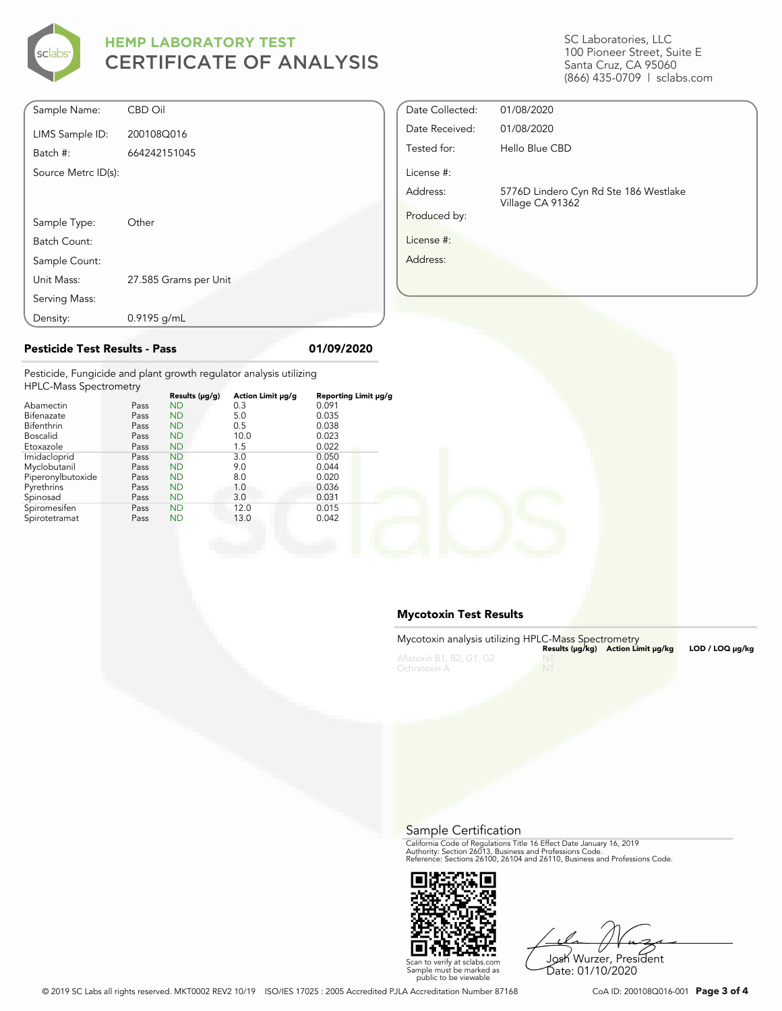

| Density:            | $0.9195$ g/mL         |
|---------------------|-----------------------|
| Serving Mass:       |                       |
| Unit Mass:          | 27.585 Grams per Unit |
| Sample Count:       |                       |
| Batch Count:        |                       |
| Sample Type:        | Other                 |
|                     |                       |
| Source Metrc ID(s): |                       |
| Batch #:            | 664242151045          |
| LIMS Sample ID:     | 200108Q016            |
| Sample Name:        | <b>CBD Oil</b>        |

# Date Collected: 01/08/2020 Date Received: 01/08/2020 Tested for: Hello Blue CBD License #: Address: 5776D Lindero Cyn Rd Ste 186 Westlake Village CA 91362 Produced by: License #: Address:

Pesticide, Fungicide and plant growth regulator analysis utilizing HPLC-Ma $s$ 

| THE LU-IVIDS SPECTIONER V |      |                |                   |                      |
|---------------------------|------|----------------|-------------------|----------------------|
|                           |      | Results (µg/g) | Action Limit µg/g | Reporting Limit µg/g |
| Abamectin                 | Pass | <b>ND</b>      | 0.3               | 0.091                |
| Bifenazate                | Pass | <b>ND</b>      | 5.0               | 0.035                |
| Bifenthrin                | Pass | <b>ND</b>      | 0.5               | 0.038                |
| <b>Boscalid</b>           | Pass | <b>ND</b>      | 10.0              | 0.023                |
| Etoxazole                 | Pass | <b>ND</b>      | 1.5               | 0.022                |
| Imidacloprid              | Pass | <b>ND</b>      | 3.0               | 0.050                |
| Myclobutanil              | Pass | <b>ND</b>      | 9.0               | 0.044                |
| Piperonylbutoxide         | Pass | <b>ND</b>      | 8.0               | 0.020                |
| Pyrethrins                | Pass | <b>ND</b>      | 1.0               | 0.036                |
| Spinosad                  | Pass | <b>ND</b>      | 3.0               | 0.031                |
| Spiromesifen              | Pass | <b>ND</b>      | 12.0              | 0.015                |
| Spirotetramat             | Pass | <b>ND</b>      | 13.0              | 0.042                |
|                           |      |                |                   |                      |

**Pesticide Test Results - Pass 01/09/2020**

### **Mycotoxin Test Results**

| Mycotoxin analysis utilizing HPLC-Mass Spectrometry |    |                                    |                 |
|-----------------------------------------------------|----|------------------------------------|-----------------|
|                                                     |    | Results (µq/kq) Action Limit µq/kq | LOD / LOQ µq/kq |
| Aflatoxin B1, B2, G1, G2                            |    |                                    |                 |
| Ochratoxin A                                        | NT |                                    |                 |

Sample Certification

California Code of Regulations Title 16 Effect Date January 16, 2019<br>Authority: Section 26013, Business and Professions Code.<br>Reference: Sections 26100, 26104 and 26110, Business and Professions Code.



Josh Wurzer, President Date: 01/10/2020

© 2019 SC Labs all rights reserved. MKT0002 REV2 10/19 ISO/IES 17025 : 2005 Accredited PJLA Accreditation Number 87168 CoA ID: 200108Q016-001 **Page 3 of 4**